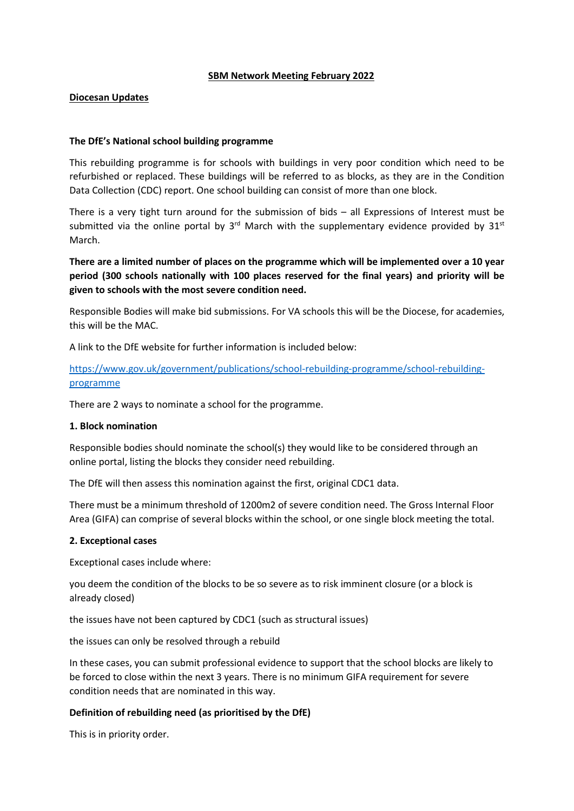### **SBM Network Meeting February 2022**

# **Diocesan Updates**

## **The DfE's National school building programme**

This rebuilding programme is for schools with buildings in very poor condition which need to be refurbished or replaced. These buildings will be referred to as blocks, as they are in the Condition Data Collection (CDC) report. One school building can consist of more than one block.

There is a very tight turn around for the submission of bids – all Expressions of Interest must be submitted via the online portal by  $3^{rd}$  March with the supplementary evidence provided by  $31^{st}$ March.

**There are a limited number of places on the programme which will be implemented over a 10 year period (300 schools nationally with 100 places reserved for the final years) and priority will be given to schools with the most severe condition need.**

Responsible Bodies will make bid submissions. For VA schools this will be the Diocese, for academies, this will be the MAC.

A link to the DfE website for further information is included below:

[https://www.gov.uk/government/publications/school-rebuilding-programme/school-rebuilding](https://www.gov.uk/government/publications/school-rebuilding-programme/school-rebuilding-programme)[programme](https://www.gov.uk/government/publications/school-rebuilding-programme/school-rebuilding-programme)

There are 2 ways to nominate a school for the programme.

#### **1. Block nomination**

Responsible bodies should nominate the school(s) they would like to be considered through an online portal, listing the blocks they consider need rebuilding.

The DfE will then assess this nomination against the first, original CDC1 data.

There must be a minimum threshold of 1200m2 of severe condition need. The Gross Internal Floor Area (GIFA) can comprise of several blocks within the school, or one single block meeting the total.

#### **2. Exceptional cases**

Exceptional cases include where:

you deem the condition of the blocks to be so severe as to risk imminent closure (or a block is already closed)

the issues have not been captured by CDC1 (such as structural issues)

the issues can only be resolved through a rebuild

In these cases, you can submit professional evidence to support that the school blocks are likely to be forced to close within the next 3 years. There is no minimum GIFA requirement for severe condition needs that are nominated in this way.

## **Definition of rebuilding need (as prioritised by the DfE)**

This is in priority order.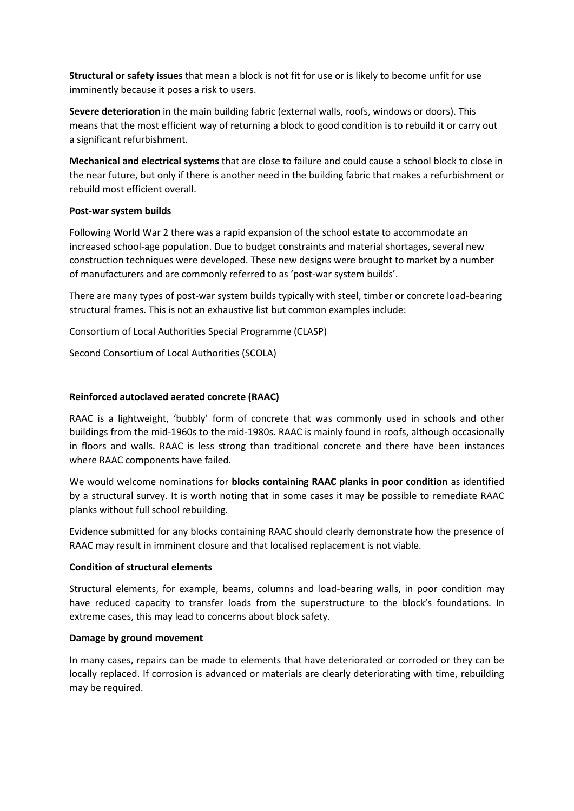**Structural or safety issues** that mean a block is not fit for use or is likely to become unfit for use imminently because it poses a risk to users.

**Severe deterioration** in the main building fabric (external walls, roofs, windows or doors). This means that the most efficient way of returning a block to good condition is to rebuild it or carry out a significant refurbishment.

**Mechanical and electrical systems** that are close to failure and could cause a school block to close in the near future, but only if there is another need in the building fabric that makes a refurbishment or rebuild most efficient overall.

## **Post-war system builds**

Following World War 2 there was a rapid expansion of the school estate to accommodate an increased school-age population. Due to budget constraints and material shortages, several new construction techniques were developed. These new designs were brought to market by a number of manufacturers and are commonly referred to as 'post-war system builds'.

There are many types of post-war system builds typically with steel, timber or concrete load-bearing structural frames. This is not an exhaustive list but common examples include:

Consortium of Local Authorities Special Programme (CLASP)

Second Consortium of Local Authorities (SCOLA)

# **Reinforced autoclaved aerated concrete (RAAC)**

RAAC is a lightweight, 'bubbly' form of concrete that was commonly used in schools and other buildings from the mid-1960s to the mid-1980s. RAAC is mainly found in roofs, although occasionally in floors and walls. RAAC is less strong than traditional concrete and there have been instances where RAAC components have failed.

We would welcome nominations for **blocks containing RAAC planks in poor condition** as identified by a structural survey. It is worth noting that in some cases it may be possible to remediate RAAC planks without full school rebuilding.

Evidence submitted for any blocks containing RAAC should clearly demonstrate how the presence of RAAC may result in imminent closure and that localised replacement is not viable.

## **Condition of structural elements**

Structural elements, for example, beams, columns and load-bearing walls, in poor condition may have reduced capacity to transfer loads from the superstructure to the block's foundations. In extreme cases, this may lead to concerns about block safety.

## **Damage by ground movement**

In many cases, repairs can be made to elements that have deteriorated or corroded or they can be locally replaced. If corrosion is advanced or materials are clearly deteriorating with time, rebuilding may be required.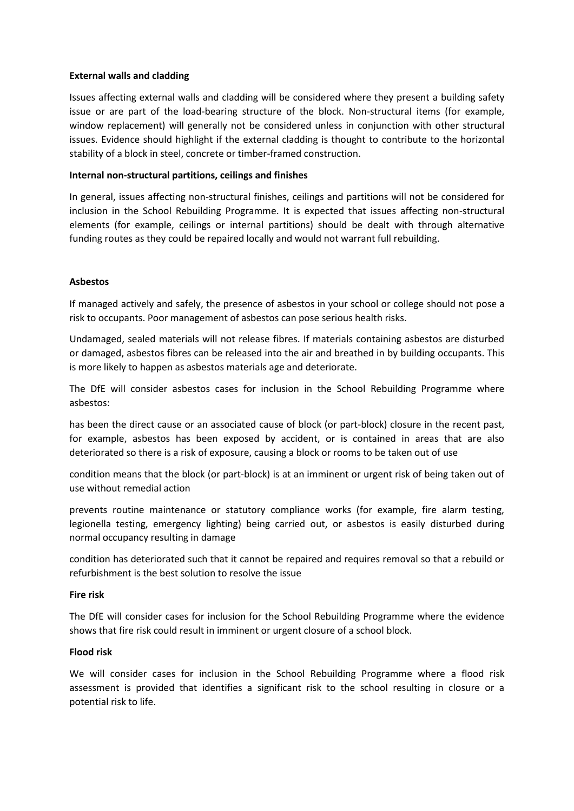## **External walls and cladding**

Issues affecting external walls and cladding will be considered where they present a building safety issue or are part of the load-bearing structure of the block. Non-structural items (for example, window replacement) will generally not be considered unless in conjunction with other structural issues. Evidence should highlight if the external cladding is thought to contribute to the horizontal stability of a block in steel, concrete or timber-framed construction.

### **Internal non-structural partitions, ceilings and finishes**

In general, issues affecting non-structural finishes, ceilings and partitions will not be considered for inclusion in the School Rebuilding Programme. It is expected that issues affecting non-structural elements (for example, ceilings or internal partitions) should be dealt with through alternative funding routes as they could be repaired locally and would not warrant full rebuilding.

### **Asbestos**

If managed actively and safely, the presence of asbestos in your school or college should not pose a risk to occupants. Poor management of asbestos can pose serious health risks.

Undamaged, sealed materials will not release fibres. If materials containing asbestos are disturbed or damaged, asbestos fibres can be released into the air and breathed in by building occupants. This is more likely to happen as asbestos materials age and deteriorate.

The DfE will consider asbestos cases for inclusion in the School Rebuilding Programme where asbestos:

has been the direct cause or an associated cause of block (or part-block) closure in the recent past, for example, asbestos has been exposed by accident, or is contained in areas that are also deteriorated so there is a risk of exposure, causing a block or rooms to be taken out of use

condition means that the block (or part-block) is at an imminent or urgent risk of being taken out of use without remedial action

prevents routine maintenance or statutory compliance works (for example, fire alarm testing, legionella testing, emergency lighting) being carried out, or asbestos is easily disturbed during normal occupancy resulting in damage

condition has deteriorated such that it cannot be repaired and requires removal so that a rebuild or refurbishment is the best solution to resolve the issue

### **Fire risk**

The DfE will consider cases for inclusion for the School Rebuilding Programme where the evidence shows that fire risk could result in imminent or urgent closure of a school block.

#### **Flood risk**

We will consider cases for inclusion in the School Rebuilding Programme where a flood risk assessment is provided that identifies a significant risk to the school resulting in closure or a potential risk to life.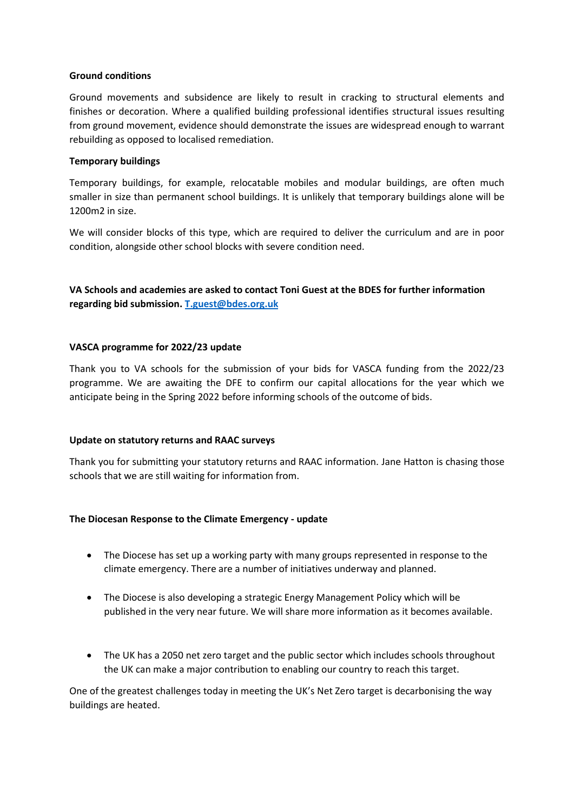## **Ground conditions**

Ground movements and subsidence are likely to result in cracking to structural elements and finishes or decoration. Where a qualified building professional identifies structural issues resulting from ground movement, evidence should demonstrate the issues are widespread enough to warrant rebuilding as opposed to localised remediation.

### **Temporary buildings**

Temporary buildings, for example, relocatable mobiles and modular buildings, are often much smaller in size than permanent school buildings. It is unlikely that temporary buildings alone will be 1200m2 in size.

We will consider blocks of this type, which are required to deliver the curriculum and are in poor condition, alongside other school blocks with severe condition need.

**VA Schools and academies are asked to contact Toni Guest at the BDES for further information regarding bid submission. [T.guest@bdes.org.uk](mailto:T.guest@bdes.org.uk)**

## **VASCA programme for 2022/23 update**

Thank you to VA schools for the submission of your bids for VASCA funding from the 2022/23 programme. We are awaiting the DFE to confirm our capital allocations for the year which we anticipate being in the Spring 2022 before informing schools of the outcome of bids.

#### **Update on statutory returns and RAAC surveys**

Thank you for submitting your statutory returns and RAAC information. Jane Hatton is chasing those schools that we are still waiting for information from.

## **The Diocesan Response to the Climate Emergency - update**

- The Diocese has set up a working party with many groups represented in response to the climate emergency. There are a number of initiatives underway and planned.
- The Diocese is also developing a strategic Energy Management Policy which will be published in the very near future. We will share more information as it becomes available.
- The UK has a 2050 net zero target and the public sector which includes schools throughout the UK can make a major contribution to enabling our country to reach this target.

One of the greatest challenges today in meeting the UK's Net Zero target is decarbonising the way buildings are heated.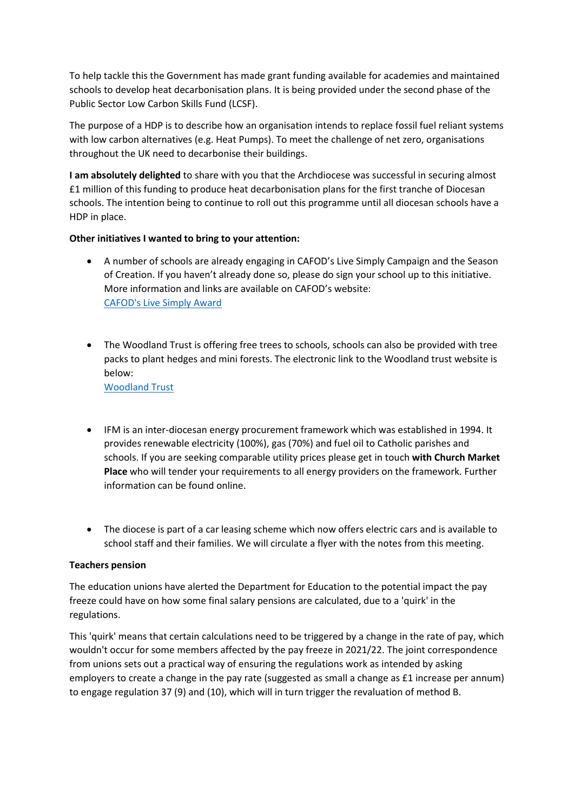To help tackle this the Government has made grant funding available for academies and maintained schools to develop heat decarbonisation plans. It is being provided under the second phase of the Public Sector Low Carbon Skills Fund (LCSF).

The purpose of a HDP is to describe how an organisation intends to replace fossil fuel reliant systems with low carbon alternatives (e.g. Heat Pumps). To meet the challenge of net zero, organisations throughout the UK need to decarbonise their buildings.

**I am absolutely delighted** to share with you that the Archdiocese was successful in securing almost £1 million of this funding to produce heat decarbonisation plans for the first tranche of Diocesan schools. The intention being to continue to roll out this programme until all diocesan schools have a HDP in place.

# **Other initiatives I wanted to bring to your attention:**

- A number of schools are already engaging in CAFOD's Live Simply Campaign and the Season of Creation. If you haven't already done so, please do sign your school up to this initiative. More information and links are available on CAFOD's website: [CAFOD's Live Simply Award](https://cafod.org.uk/Campaign/LiveSimply-award)
- The Woodland Trust is offering free trees to schools, schools can also be provided with tree packs to plant hedges and mini forests. The electronic link to the Woodland trust website is below: [Woodland](https://www.woodlandtrust.org.uk/plant-trees/schools-and-communities/) Trust
- IFM is an inter-diocesan energy procurement framework which was established in 1994. It provides renewable electricity (100%), gas (70%) and fuel oil to Catholic parishes and schools. If you are seeking comparable utility prices please get in touch **with Church Market Place** who will tender your requirements to all energy providers on the framework. Further information can be found online.
- The diocese is part of a car leasing scheme which now offers electric cars and is available to school staff and their families. We will circulate a flyer with the notes from this meeting.

## **Teachers pension**

The education unions have alerted the Department for Education to the potential impact the pay freeze could have on how some final salary pensions are calculated, due to a 'quirk' in the regulations.

This 'quirk' means that certain calculations need to be triggered by a change in the rate of pay, which wouldn't occur for some members affected by the pay freeze in 2021/22. The joint correspondence from unions sets out a practical way of ensuring the regulations work as intended by asking employers to create a change in the pay rate (suggested as small a change as £1 increase per annum) to engage regulation 37 (9) and (10), which will in turn trigger the revaluation of method B.